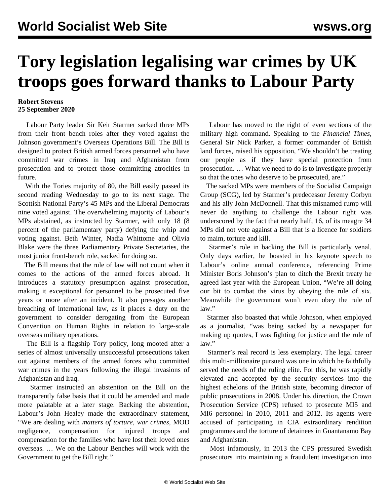## **Tory legislation legalising war crimes by UK troops goes forward thanks to Labour Party**

## **Robert Stevens 25 September 2020**

 Labour Party leader Sir Keir Starmer sacked three MPs from their front bench roles after they voted against the Johnson government's Overseas Operations Bill. The Bill is designed to protect British armed forces personnel who have committed [war crimes](/en/articles/2020/06/13/iraq-j13.html) in Iraq and Afghanistan from prosecution and to protect those committing atrocities in future.

 With the Tories majority of 80, the Bill easily passed its second reading Wednesday to go to its next stage. The Scottish National Party's 45 MPs and the Liberal Democrats nine voted against. The overwhelming majority of Labour's MPs abstained, as instructed by Starmer, with only 18 (8 percent of the parliamentary party) defying the whip and voting against. Beth Winter, Nadia Whittome and Olivia Blake were the three Parliamentary Private Secretaries, the most junior front-bench role, sacked for doing so.

 The Bill means that the rule of law will not count when it comes to the actions of the armed forces abroad. It introduces a statutory presumption against prosecution, making it exceptional for personnel to be prosecuted five years or more after an incident. It also presages another breaching of international law, as it places a duty on the government to consider derogating from the European Convention on Human Rights in relation to large-scale overseas military operations.

 The Bill is a flagship Tory policy, long mooted after a series of almost universally unsuccessful prosecutions taken out against members of the armed forces who committed war crimes in the years following the illegal invasions of Afghanistan and Iraq.

 Starmer instructed an abstention on the Bill on the transparently false basis that it could be amended and made more palatable at a later stage. Backing the abstention, Labour's John Healey made the extraordinary statement, "We are dealing with *matters of torture, war crimes,* MOD negligence, compensation for injured troops and compensation for the families who have lost their loved ones overseas. … We on the Labour Benches will work with the Government to get the Bill right."

 Labour has moved to the right of even sections of the military high command. Speaking to the *Financial Times*, General Sir Nick Parker, a former commander of British land forces, raised his opposition, "We shouldn't be treating our people as if they have special protection from prosecution. … What we need to do is to investigate properly so that the ones who deserve to be prosecuted, are."

 The sacked MPs were members of the Socialist Campaign Group (SCG), led by Starmer's predecessor Jeremy Corbyn and his ally John McDonnell. That this misnamed rump will never do anything to challenge the Labour right was underscored by the fact that nearly half, 16, of its meagre 34 MPs did not vote against a Bill that is a licence for soldiers to maim, torture and kill.

 Starmer's role in backing the Bill is particularly venal. Only days earlier, he boasted in his keynote speech to Labour's online annual conference, referencing Prime Minister Boris Johnson's plan to ditch the Brexit treaty he agreed last year with the European Union, "We're all doing our bit to combat the virus by obeying the rule of six. Meanwhile the government won't even obey the rule of law."

 Starmer also boasted that while Johnson, when employed as a journalist, "was being sacked by a newspaper for making up quotes, I was fighting for justice and the rule of law."

 Starmer's real record is less exemplary. The legal career this multi-millionaire pursued was one in which he [faithfully](/en/articles/2020/04/07/star-a07.html) [served](/en/articles/2020/04/07/star-a07.html) the needs of the ruling elite. For this, he was rapidly elevated and accepted by the security services into the highest echelons of the British state, becoming director of public prosecutions in 2008. Under his direction, the Crown Prosecution Service (CPS) refused to prosecute MI5 and MI6 personnel in 2010, 2011 and 2012. Its agents were accused of participating in CIA extraordinary rendition programmes and the torture of detainees in Guantanamo Bay and Afghanistan.

 Most infamously, in 2013 the CPS pressured Swedish prosecutors into maintaining a fraudulent investigation into